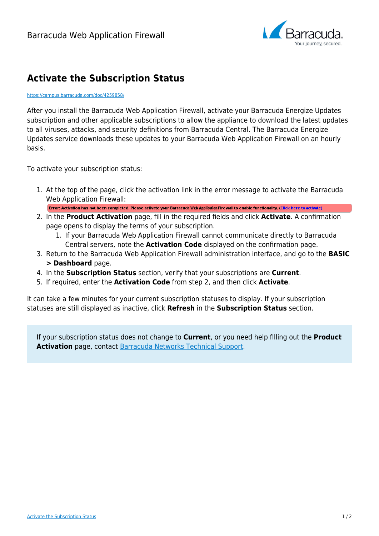

# **Activate the Subscription Status**

#### <https://campus.barracuda.com/doc/4259858/>

After you install the Barracuda Web Application Firewall, activate your Barracuda Energize Updates subscription and other applicable subscriptions to allow the appliance to download the latest updates to all viruses, attacks, and security definitions from Barracuda Central. The Barracuda Energize Updates service downloads these updates to your Barracuda Web Application Firewall on an hourly basis.

To activate your subscription status:

1. At the top of the page, click the activation link in the error message to activate the Barracuda Web Application Firewall:

Error: Activation has not been completed. Please activate your Barracuda Web Application Firewall to enable functionality. (Click here to activate)

- 2. In the **Product Activation** page, fill in the required fields and click **Activate**. A confirmation page opens to display the terms of your subscription.
	- 1. If your Barracuda Web Application Firewall cannot communicate directly to Barracuda Central servers, note the **Activation Code** displayed on the confirmation page.
- 3. Return to the Barracuda Web Application Firewall administration interface, and go to the **BASIC > Dashboard** page.
- 4. In the **Subscription Status** section, verify that your subscriptions are **Current**.
- 5. If required, enter the **Activation Code** from step 2, and then click **Activate**.

It can take a few minutes for your current subscription statuses to display. If your subscription statuses are still displayed as inactive, click **Refresh** in the **Subscription Status** section.

If your subscription status does not change to **Current**, or you need help filling out the **Product Activation** page, contact [Barracuda Networks Technical Support.](https://www.barracuda.com/support)